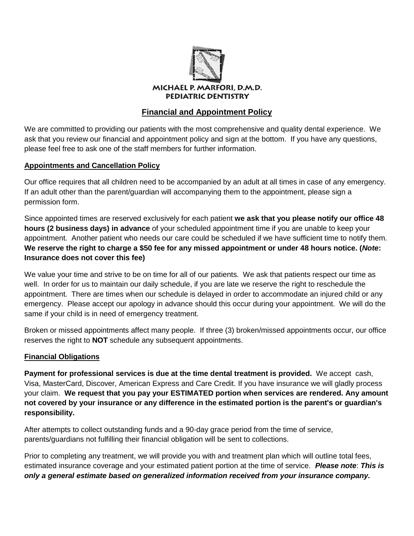

# **Financial and Appointment Policy**

We are committed to providing our patients with the most comprehensive and quality dental experience. We ask that you review our financial and appointment policy and sign at the bottom. If you have any questions, please feel free to ask one of the staff members for further information.

### **Appointments and Cancellation Policy**

Our office requires that all children need to be accompanied by an adult at all times in case of any emergency. If an adult other than the parent/guardian will accompanying them to the appointment, please sign a permission form.

Since appointed times are reserved exclusively for each patient **we ask that you please notify our office 48 hours (2 business days) in advance** of your scheduled appointment time if you are unable to keep your appointment. Another patient who needs our care could be scheduled if we have sufficient time to notify them. **We reserve the right to charge a \$50 fee for any missed appointment or under 48 hours notice. (***Note***: Insurance does not cover this fee)**

We value your time and strive to be on time for all of our patients. We ask that patients respect our time as well. In order for us to maintain our daily schedule, if you are late we reserve the right to reschedule the appointment. There are times when our schedule is delayed in order to accommodate an injured child or any emergency. Please accept our apology in advance should this occur during your appointment. We will do the same if your child is in need of emergency treatment.

Broken or missed appointments affect many people. If three (3) broken/missed appointments occur, our office reserves the right to **NOT** schedule any subsequent appointments.

#### **Financial Obligations**

**Payment for professional services is due at the time dental treatment is provided.** We accept cash, Visa, MasterCard, Discover, American Express and Care Credit. If you have insurance we will gladly process your claim. **We request that you pay your ESTIMATED portion when services are rendered. Any amount not covered by your insurance or any difference in the estimated portion is the parent's or guardian's responsibility.** 

After attempts to collect outstanding funds and a 90-day grace period from the time of service, parents/guardians not fulfilling their financial obligation will be sent to collections.

Prior to completing any treatment, we will provide you with and treatment plan which will outline total fees, estimated insurance coverage and your estimated patient portion at the time of service. *Please note*: *This is only a general estimate based on generalized information received from your insurance company.*